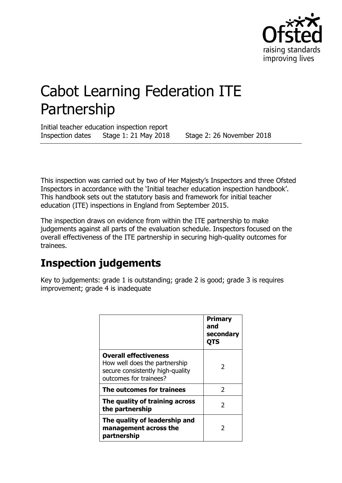

# Cabot Learning Federation ITE Partnership

Initial teacher education inspection report Inspection dates Stage 1: 21 May 2018 Stage 2: 26 November 2018

This inspection was carried out by two of Her Majesty's Inspectors and three Ofsted Inspectors in accordance with the 'Initial teacher education inspection handbook'. This handbook sets out the statutory basis and framework for initial teacher education (ITE) inspections in England from September 2015.

The inspection draws on evidence from within the ITE partnership to make judgements against all parts of the evaluation schedule. Inspectors focused on the overall effectiveness of the ITE partnership in securing high-quality outcomes for trainees.

## **Inspection judgements**

Key to judgements: grade 1 is outstanding; grade 2 is good; grade 3 is requires improvement; grade 4 is inadequate

|                                                                                                                             | <b>Primary</b><br>and<br>secondary<br><b>OTS</b> |
|-----------------------------------------------------------------------------------------------------------------------------|--------------------------------------------------|
| <b>Overall effectiveness</b><br>How well does the partnership<br>secure consistently high-quality<br>outcomes for trainees? | $\mathcal{L}$                                    |
| The outcomes for trainees                                                                                                   | 2                                                |
| The quality of training across<br>the partnership                                                                           | $\mathcal{L}$                                    |
| The quality of leadership and<br>management across the<br>partnership                                                       | 2                                                |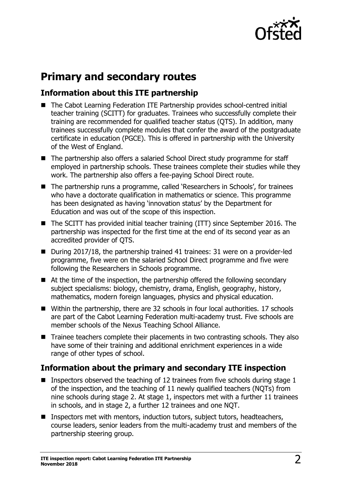

## **Primary and secondary routes**

## **Information about this ITE partnership**

- The Cabot Learning Federation ITE Partnership provides school-centred initial teacher training (SCITT) for graduates. Trainees who successfully complete their training are recommended for qualified teacher status (QTS). In addition, many trainees successfully complete modules that confer the award of the postgraduate certificate in education (PGCE). This is offered in partnership with the University of the West of England.
- The partnership also offers a salaried School Direct study programme for staff employed in partnership schools. These trainees complete their studies while they work. The partnership also offers a fee-paying School Direct route.
- The partnership runs a programme, called 'Researchers in Schools', for trainees who have a doctorate qualification in mathematics or science. This programme has been designated as having 'innovation status' by the Department for Education and was out of the scope of this inspection.
- The SCITT has provided initial teacher training (ITT) since September 2016. The partnership was inspected for the first time at the end of its second year as an accredited provider of QTS.
- During 2017/18, the partnership trained 41 trainees: 31 were on a provider-led programme, five were on the salaried School Direct programme and five were following the Researchers in Schools programme.
- At the time of the inspection, the partnership offered the following secondary subject specialisms: biology, chemistry, drama, English, geography, history, mathematics, modern foreign languages, physics and physical education.
- Within the partnership, there are 32 schools in four local authorities. 17 schools are part of the Cabot Learning Federation multi-academy trust. Five schools are member schools of the Nexus Teaching School Alliance.
- Trainee teachers complete their placements in two contrasting schools. They also have some of their training and additional enrichment experiences in a wide range of other types of school.

## **Information about the primary and secondary ITE inspection**

- **Inspectors observed the teaching of 12 trainees from five schools during stage 1** of the inspection, and the teaching of 11 newly qualified teachers (NQTs) from nine schools during stage 2. At stage 1, inspectors met with a further 11 trainees in schools, and in stage 2, a further 12 trainees and one NQT.
- Inspectors met with mentors, induction tutors, subject tutors, headteachers, course leaders, senior leaders from the multi-academy trust and members of the partnership steering group.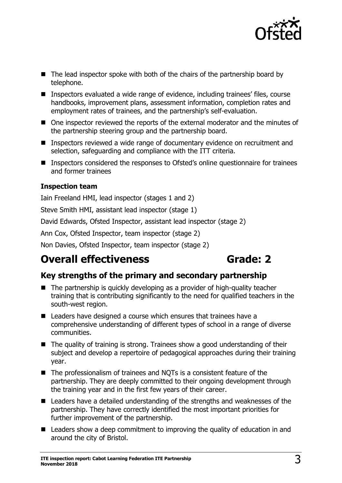

- The lead inspector spoke with both of the chairs of the partnership board by telephone.
- Inspectors evaluated a wide range of evidence, including trainees' files, course handbooks, improvement plans, assessment information, completion rates and employment rates of trainees, and the partnership's self-evaluation.
- One inspector reviewed the reports of the external moderator and the minutes of the partnership steering group and the partnership board.
- Inspectors reviewed a wide range of documentary evidence on recruitment and selection, safeguarding and compliance with the ITT criteria.
- Inspectors considered the responses to Ofsted's online questionnaire for trainees and former trainees

### **Inspection team**

Iain Freeland HMI, lead inspector (stages 1 and 2)

Steve Smith HMI, assistant lead inspector (stage 1)

David Edwards, Ofsted Inspector, assistant lead inspector (stage 2)

Ann Cox, Ofsted Inspector, team inspector (stage 2)

Non Davies, Ofsted Inspector, team inspector (stage 2)

## **Overall effectiveness by Grade: 2**

## **Key strengths of the primary and secondary partnership**

- The partnership is quickly developing as a provider of high-quality teacher training that is contributing significantly to the need for qualified teachers in the south-west region.
- Leaders have designed a course which ensures that trainees have a comprehensive understanding of different types of school in a range of diverse communities.
- $\blacksquare$  The quality of training is strong. Trainees show a good understanding of their subject and develop a repertoire of pedagogical approaches during their training year.
- The professionalism of trainees and NQTs is a consistent feature of the partnership. They are deeply committed to their ongoing development through the training year and in the first few years of their career.
- Leaders have a detailed understanding of the strengths and weaknesses of the partnership. They have correctly identified the most important priorities for further improvement of the partnership.
- Leaders show a deep commitment to improving the quality of education in and around the city of Bristol.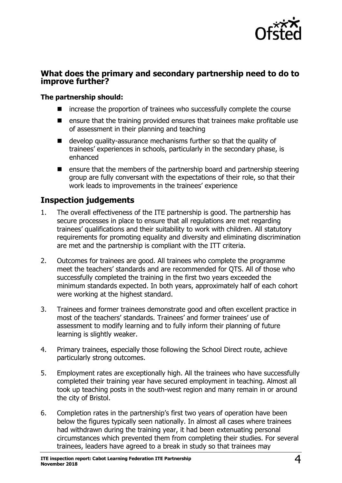

## **What does the primary and secondary partnership need to do to improve further?**

### **The partnership should:**

- increase the proportion of trainees who successfully complete the course
- **E** ensure that the training provided ensures that trainees make profitable use of assessment in their planning and teaching
- develop quality-assurance mechanisms further so that the quality of trainees' experiences in schools, particularly in the secondary phase, is enhanced
- $\blacksquare$  ensure that the members of the partnership board and partnership steering group are fully conversant with the expectations of their role, so that their work leads to improvements in the trainees' experience

## **Inspection judgements**

- 1. The overall effectiveness of the ITE partnership is good. The partnership has secure processes in place to ensure that all regulations are met regarding trainees' qualifications and their suitability to work with children. All statutory requirements for promoting equality and diversity and eliminating discrimination are met and the partnership is compliant with the ITT criteria.
- 2. Outcomes for trainees are good. All trainees who complete the programme meet the teachers' standards and are recommended for QTS. All of those who successfully completed the training in the first two years exceeded the minimum standards expected. In both years, approximately half of each cohort were working at the highest standard.
- 3. Trainees and former trainees demonstrate good and often excellent practice in most of the teachers' standards. Trainees' and former trainees' use of assessment to modify learning and to fully inform their planning of future learning is slightly weaker.
- 4. Primary trainees, especially those following the School Direct route, achieve particularly strong outcomes.
- 5. Employment rates are exceptionally high. All the trainees who have successfully completed their training year have secured employment in teaching. Almost all took up teaching posts in the south-west region and many remain in or around the city of Bristol.
- 6. Completion rates in the partnership's first two years of operation have been below the figures typically seen nationally. In almost all cases where trainees had withdrawn during the training year, it had been extenuating personal circumstances which prevented them from completing their studies. For several trainees, leaders have agreed to a break in study so that trainees may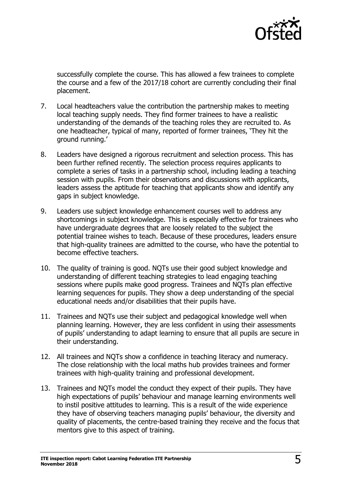

successfully complete the course. This has allowed a few trainees to complete the course and a few of the 2017/18 cohort are currently concluding their final placement.

- 7. Local headteachers value the contribution the partnership makes to meeting local teaching supply needs. They find former trainees to have a realistic understanding of the demands of the teaching roles they are recruited to. As one headteacher, typical of many, reported of former trainees, 'They hit the ground running.'
- 8. Leaders have designed a rigorous recruitment and selection process. This has been further refined recently. The selection process requires applicants to complete a series of tasks in a partnership school, including leading a teaching session with pupils. From their observations and discussions with applicants, leaders assess the aptitude for teaching that applicants show and identify any gaps in subject knowledge.
- 9. Leaders use subject knowledge enhancement courses well to address any shortcomings in subject knowledge. This is especially effective for trainees who have undergraduate degrees that are loosely related to the subject the potential trainee wishes to teach. Because of these procedures, leaders ensure that high-quality trainees are admitted to the course, who have the potential to become effective teachers.
- 10. The quality of training is good. NQTs use their good subject knowledge and understanding of different teaching strategies to lead engaging teaching sessions where pupils make good progress. Trainees and NQTs plan effective learning sequences for pupils. They show a deep understanding of the special educational needs and/or disabilities that their pupils have.
- 11. Trainees and NQTs use their subject and pedagogical knowledge well when planning learning. However, they are less confident in using their assessments of pupils' understanding to adapt learning to ensure that all pupils are secure in their understanding.
- 12. All trainees and NQTs show a confidence in teaching literacy and numeracy. The close relationship with the local maths hub provides trainees and former trainees with high-quality training and professional development.
- 13. Trainees and NQTs model the conduct they expect of their pupils. They have high expectations of pupils' behaviour and manage learning environments well to instil positive attitudes to learning. This is a result of the wide experience they have of observing teachers managing pupils' behaviour, the diversity and quality of placements, the centre-based training they receive and the focus that mentors give to this aspect of training.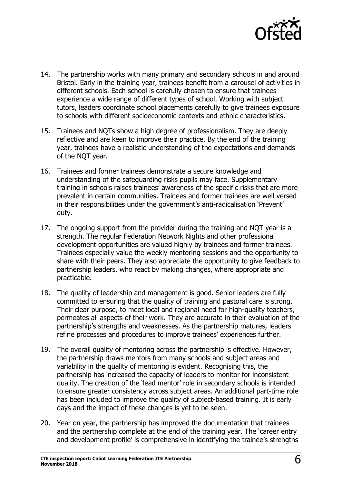

- 14. The partnership works with many primary and secondary schools in and around Bristol. Early in the training year, trainees benefit from a carousel of activities in different schools. Each school is carefully chosen to ensure that trainees experience a wide range of different types of school. Working with subject tutors, leaders coordinate school placements carefully to give trainees exposure to schools with different socioeconomic contexts and ethnic characteristics.
- 15. Trainees and NQTs show a high degree of professionalism. They are deeply reflective and are keen to improve their practice. By the end of the training year, trainees have a realistic understanding of the expectations and demands of the NQT year.
- 16. Trainees and former trainees demonstrate a secure knowledge and understanding of the safeguarding risks pupils may face. Supplementary training in schools raises trainees' awareness of the specific risks that are more prevalent in certain communities. Trainees and former trainees are well versed in their responsibilities under the government's anti-radicalisation 'Prevent' duty.
- 17. The ongoing support from the provider during the training and NQT year is a strength. The regular Federation Network Nights and other professional development opportunities are valued highly by trainees and former trainees. Trainees especially value the weekly mentoring sessions and the opportunity to share with their peers. They also appreciate the opportunity to give feedback to partnership leaders, who react by making changes, where appropriate and practicable.
- 18. The quality of leadership and management is good. Senior leaders are fully committed to ensuring that the quality of training and pastoral care is strong. Their clear purpose, to meet local and regional need for high-quality teachers, permeates all aspects of their work. They are accurate in their evaluation of the partnership's strengths and weaknesses. As the partnership matures, leaders refine processes and procedures to improve trainees' experiences further.
- 19. The overall quality of mentoring across the partnership is effective. However, the partnership draws mentors from many schools and subject areas and variability in the quality of mentoring is evident. Recognising this, the partnership has increased the capacity of leaders to monitor for inconsistent quality. The creation of the 'lead mentor' role in secondary schools is intended to ensure greater consistency across subject areas. An additional part-time role has been included to improve the quality of subject-based training. It is early days and the impact of these changes is yet to be seen.
- 20. Year on year, the partnership has improved the documentation that trainees and the partnership complete at the end of the training year. The 'career entry and development profile' is comprehensive in identifying the trainee's strengths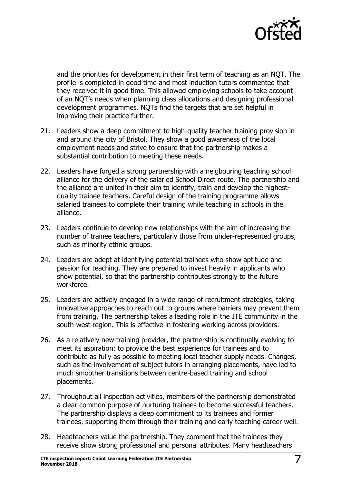

and the priorities for development in their first term of teaching as an NQT. The profile is completed in good time and most induction tutors commented that they received it in good time. This allowed employing schools to take account of an NQT's needs when planning class allocations and designing professional development programmes. NQTs find the targets that are set helpful in improving their practice further.

- 21. Leaders show a deep commitment to high-quality teacher training provision in and around the city of Bristol. They show a good awareness of the local employment needs and strive to ensure that the partnership makes a substantial contribution to meeting these needs.
- 22. Leaders have forged a strong partnership with a neigbouring teaching school alliance for the delivery of the salaried School Direct route. The partnership and the alliance are united in their aim to identify, train and develop the highestquality trainee teachers. Careful design of the training programme allows salaried trainees to complete their training while teaching in schools in the alliance.
- 23. Leaders continue to develop new relationships with the aim of increasing the number of trainee teachers, particularly those from under-represented groups, such as minority ethnic groups.
- 24. Leaders are adept at identifying potential trainees who show aptitude and passion for teaching. They are prepared to invest heavily in applicants who show potential, so that the partnership contributes strongly to the future workforce.
- 25. Leaders are actively engaged in a wide range of recruitment strategies, taking innovative approaches to reach out to groups where barriers may prevent them from training. The partnership takes a leading role in the ITE community in the south-west region. This is effective in fostering working across providers.
- 26. As a relatively new training provider, the partnership is continually evolving to meet its aspiration: to provide the best experience for trainees and to contribute as fully as possible to meeting local teacher supply needs. Changes, such as the involvement of subject tutors in arranging placements, have led to much smoother transitions between centre-based training and school placements.
- 27. Throughout all inspection activities, members of the partnership demonstrated a clear common purpose of nurturing trainees to become successful teachers. The partnership displays a deep commitment to its trainees and former trainees, supporting them through their training and early teaching career well.
- 28. Headteachers value the partnership. They comment that the trainees they receive show strong professional and personal attributes. Many headteachers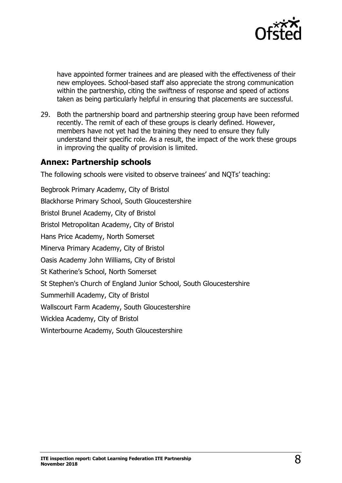

have appointed former trainees and are pleased with the effectiveness of their new employees. School-based staff also appreciate the strong communication within the partnership, citing the swiftness of response and speed of actions taken as being particularly helpful in ensuring that placements are successful.

29. Both the partnership board and partnership steering group have been reformed recently. The remit of each of these groups is clearly defined. However, members have not yet had the training they need to ensure they fully understand their specific role. As a result, the impact of the work these groups in improving the quality of provision is limited.

## **Annex: Partnership schools**

The following schools were visited to observe trainees' and NQTs' teaching:

Begbrook Primary Academy, City of Bristol Blackhorse Primary School, South Gloucestershire Bristol Brunel Academy, City of Bristol Bristol Metropolitan Academy, City of Bristol Hans Price Academy, North Somerset Minerva Primary Academy, City of Bristol Oasis Academy John Williams, City of Bristol St Katherine's School, North Somerset St Stephen's Church of England Junior School, South Gloucestershire Summerhill Academy, City of Bristol Wallscourt Farm Academy, South Gloucestershire Wicklea Academy, City of Bristol Winterbourne Academy, South Gloucestershire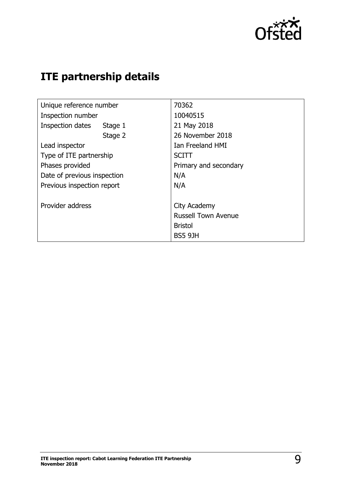

## **ITE partnership details**

| Unique reference number     | 70362                      |
|-----------------------------|----------------------------|
| Inspection number           | 10040515                   |
| Inspection dates<br>Stage 1 | 21 May 2018                |
| Stage 2                     | 26 November 2018           |
| Lead inspector              | Ian Freeland HMI           |
| Type of ITE partnership     | <b>SCITT</b>               |
| Phases provided             | Primary and secondary      |
| Date of previous inspection | N/A                        |
| Previous inspection report  | N/A                        |
|                             |                            |
| Provider address            | City Academy               |
|                             | <b>Russell Town Avenue</b> |
|                             | <b>Bristol</b>             |
|                             | <b>BS5 9JH</b>             |